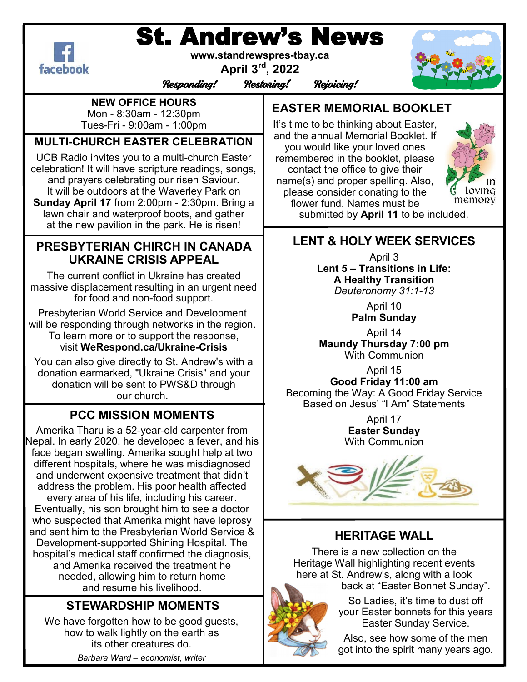# St. Andrew's News



**www.standrewspres-tbay.ca**

**April 3rd, 2022**

Responding! Restoring! Rejoicing!

**NEW OFFICE HOURS**

Mon - 8:30am - 12:30pm Tues-Fri - 9:00am - 1:00pm

# **MULTI-CHURCH EASTER CELEBRATION**

UCB Radio invites you to a multi-church Easter celebration! It will have scripture readings, songs, and prayers celebrating our risen Saviour. It will be outdoors at the Waverley Park on **Sunday April 17** from 2:00pm - 2:30pm. Bring a lawn chair and waterproof boots, and gather at the new pavilion in the park. He is risen!

### **PRESBYTERIAN CHIRCH IN CANADA UKRAINE CRISIS APPEAL**

The current conflict in Ukraine has created massive displacement resulting in an urgent need for food and non-food support.

Presbyterian World Service and Development will be responding through networks in the region. To learn more or to support the response, visit **WeRespond.ca/Ukraine-Crisis**

You can also give directly to St. Andrew's with a donation earmarked, "Ukraine Crisis" and your donation will be sent to PWS&D through our church.

# **PCC MISSION MOMENTS**

Amerika Tharu is a 52-year-old carpenter from Nepal. In early 2020, he developed a fever, and his face began swelling. Amerika sought help at two different hospitals, where he was misdiagnosed and underwent expensive treatment that didn't address the problem. His poor health affected every area of his life, including his career. Eventually, his son brought him to see a doctor who suspected that Amerika might have leprosy and sent him to the Presbyterian World Service & Development-supported Shining Hospital. The hospital's medical staff confirmed the diagnosis, and Amerika received the treatment he needed, allowing him to return home and resume his livelihood.

# **STEWARDSHIP MOMENTS**

We have forgotten how to be good guests, how to walk lightly on the earth as its other creatures do.

*Barbara Ward – economist, writer*

# **EASTER MEMORIAL BOOKLET**

It's time to be thinking about Easter, and the annual Memorial Booklet. If you would like your loved ones remembered in the booklet, please contact the office to give their name(s) and proper spelling. Also, please consider donating to the flower fund. Names must be submitted by **April 11** to be included.



**LENT & HOLY WEEK SERVICES**

April 3 **Lent 5 – Transitions in Life: A Healthy Transition** *Deuteronomy 31:1-13*

> April 10 **Palm Sunday**

April 14 **Maundy Thursday 7:00 pm** With Communion

April 15 **Good Friday 11:00 am** Becoming the Way: A Good Friday Service Based on Jesus' "I Am" Statements

> April 17 **Easter Sunday** With Communion



## **HERITAGE WALL**

There is a new collection on the Heritage Wall highlighting recent events here at St. Andrew's, along with a look back at "Easter Bonnet Sunday".

> So Ladies, it's time to dust off your Easter bonnets for this years Easter Sunday Service.

> Also, see how some of the men got into the spirit many years ago.